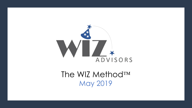

The WIZ Method<sup>TM</sup> May 2019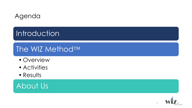## Agenda

# **Introduction**

## The WIZ Method<sup>TM</sup>

- Overview
- Activities
- Results

About Us

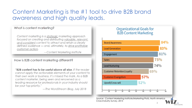#### Content Marketing is the #1 tool to drive B2B brand awareness and high quality leads.

#### What is content marketing?

Content marketing is a strategic marketing approach focused on creating and distributing valuable, relevant, and consistent content to attract and retain a clearly defined audience - and, ultimately, to drive profitable customer action.

---Content Marketing Institute

#### How is B2B content marketing different?

"B2B content has to be useful above all else. If the reader cannot apply the actionable elements of your content to their own work or business, it's missed the mark. As a B2B content marketer, being seen and renowned as a leading resource for professionals in your industry should be your top priority."

---The WordStream Blog, July 2018

#### **Organizational Goals for B2B Content Marketing**



3 *Source: Content Marketing Institute/Marketing Profs, North America Cross-Industry Survey, 2015*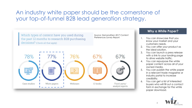### An industry white paper should be the cornerstone of your top-of-funnel B2B lead generation strategy.



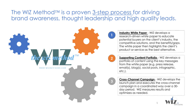#### The WIZ Method<sup>TM</sup> is a proven 3-step process for driving brand awareness, thought leadership and high quality leads.

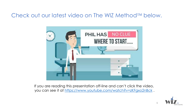#### Check out our latest video on The WIZ Method  $TM$  below.



If you are reading this presentation off-line and can't click the video, you can see it at<https://www.youtube.com/watch?v=zKFgxo2nBck>.

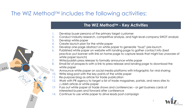### The WIZ Method $T_M$  includes the following activities:

#### **The WIZ Method™ - Key Activities**

- Develop buyer persona of the primary target customer
- 2. Conduct industry research, competitive analysis, and high level company SWOT analysis
- 3. Develop white paper

 $\int_{\bullet}^{\bullet}$ 

- 4. Create launch plan for the white paper
- 5. Develop one-page abstract on white paper to generate "buzz" pre-launch
- 6. Published white paper on website with landing page to gather contact info (best practice: put banner with link on home page to capture leads that might be unaware of white paper launch)
- 7. Write/publish press release to formally announce white paper
- 8. Email list of prospects with a link to press release and landing page to download the white paper
- 9. Announce white paper on social media platforms with infographic for viral sharing
- 10. Write blog post with the key points of the white paper
- 11. Re-purpose blog as article for trade publication
- 12. Work with PR agency to target a list of trade magazines, portals, and news sites to publish article or white paper
- 13. Pass out white paper at trade shows and conferences or get business cards of interested buyers and forward after conference
- 14. Continue to use white paper to drive leads post-campaign

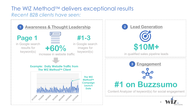#### The WIZ Method™ delivers exceptional results *Recent B2B clients have seen:*

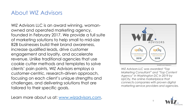### About WIZ Advisors

WIZ Advisors LLC is an award winning, womanowned and operated marketing agency, founded in February 2017. We provide a full suite of marketing solutions to help small to mid-size B2B businesses build their brand awareness, increase qualified leads, drive customer engagement and loyalty, and accelerate revenue. Unlike traditional agencies that use cookie cutter methods and templates to solve clients' pain points, WIZ Advisors employs a customer-centric, research-driven approach, focusing on each client's unique strengths and challenges, and delivering solutions that are tailored to their specific goals.

Learn more about us at: [www.wizadvisors.com](https://wizadvisors.com/).



*WIZ Advisors LLC was awarded "Top Marketing Consultant" and "Top Content Agency" in Washington DC in 2019 by UpCity, the online marketplace that connects companies with proven digital marketing service providers and agencies.*